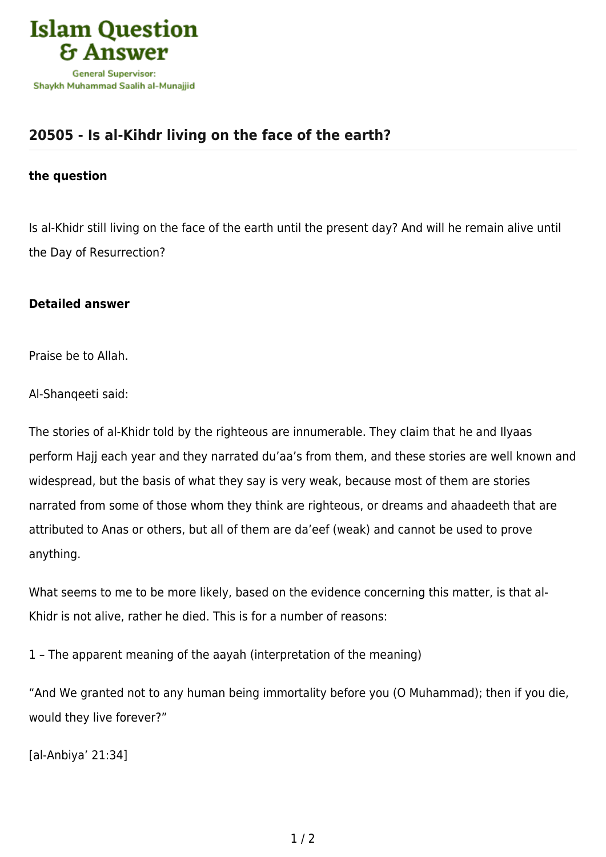

## **[20505 - Is al-Kihdr living on the face of the earth?](https://islamqa.com/en/answers/20505/is-al-kihdr-living-on-the-face-of-the-earth)**

## **the question**

Is al-Khidr still living on the face of the earth until the present day? And will he remain alive until the Day of Resurrection?

## **Detailed answer**

Praise be to Allah.

Al-Shanqeeti said:

The stories of al-Khidr told by the righteous are innumerable. They claim that he and Ilyaas perform Hajj each year and they narrated du'aa's from them, and these stories are well known and widespread, but the basis of what they say is very weak, because most of them are stories narrated from some of those whom they think are righteous, or dreams and ahaadeeth that are attributed to Anas or others, but all of them are da'eef (weak) and cannot be used to prove anything.

What seems to me to be more likely, based on the evidence concerning this matter, is that al-Khidr is not alive, rather he died. This is for a number of reasons:

1 – The apparent meaning of the aayah (interpretation of the meaning)

"And We granted not to any human being immortality before you (O Muhammad); then if you die, would they live forever?"

[al-Anbiya' 21:34]